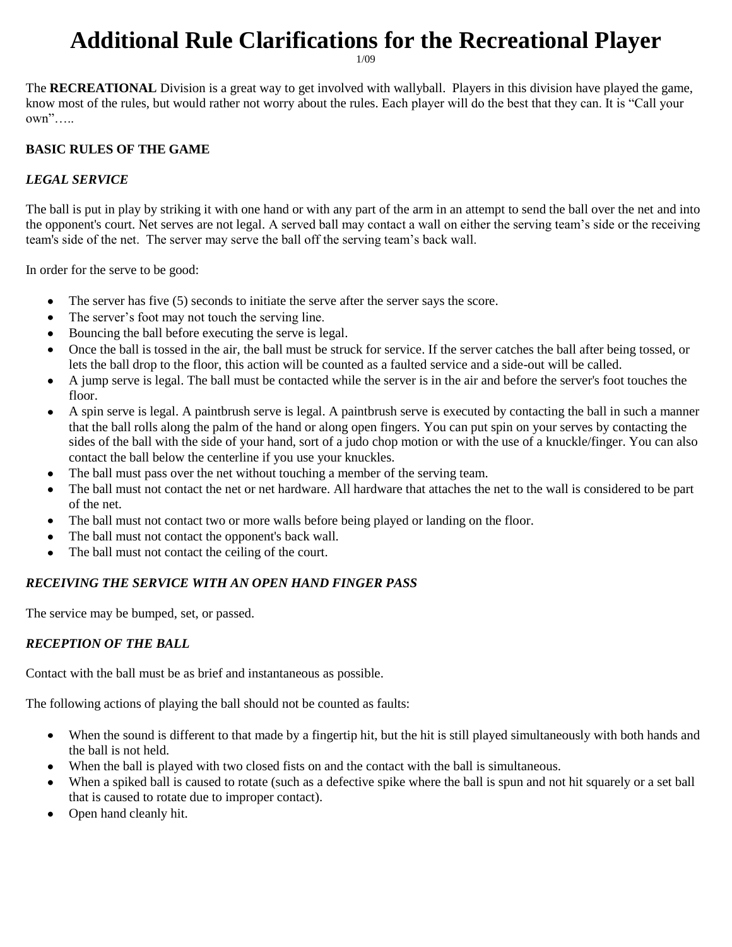# **Additional Rule Clarifications for the Recreational Player**

1/09

The **RECREATIONAL** Division is a great way to get involved with wallyball. Players in this division have played the game, know most of the rules, but would rather not worry about the rules. Each player will do the best that they can. It is "Call your own"…..

#### **BASIC RULES OF THE GAME**

#### *LEGAL SERVICE*

The ball is put in play by striking it with one hand or with any part of the arm in an attempt to send the ball over the net and into the opponent's court. Net serves are not legal. A served ball may contact a wall on either the serving team's side or the receiving team's side of the net. The server may serve the ball off the serving team's back wall.

In order for the serve to be good:

- The server has five (5) seconds to initiate the serve after the server says the score.  $\bullet$
- The server's foot may not touch the serving line.  $\bullet$
- Bouncing the ball before executing the serve is legal.  $\bullet$
- Once the ball is tossed in the air, the ball must be struck for service. If the server catches the ball after being tossed, or  $\bullet$ lets the ball drop to the floor, this action will be counted as a faulted service and a side-out will be called.
- A jump serve is legal. The ball must be contacted while the server is in the air and before the server's foot touches the  $\bullet$ floor.
- A spin serve is legal. A paintbrush serve is legal. A paintbrush serve is executed by contacting the ball in such a manner that the ball rolls along the palm of the hand or along open fingers. You can put spin on your serves by contacting the sides of the ball with the side of your hand, sort of a judo chop motion or with the use of a knuckle/finger. You can also contact the ball below the centerline if you use your knuckles.
- The ball must pass over the net without touching a member of the serving team.
- The ball must not contact the net or net hardware. All hardware that attaches the net to the wall is considered to be part of the net.
- The ball must not contact two or more walls before being played or landing on the floor.
- The ball must not contact the opponent's back wall.  $\bullet$
- The ball must not contact the ceiling of the court.

### *RECEIVING THE SERVICE WITH AN OPEN HAND FINGER PASS*

The service may be bumped, set, or passed.

### *RECEPTION OF THE BALL*

Contact with the ball must be as brief and instantaneous as possible.

The following actions of playing the ball should not be counted as faults:

- $\bullet$ When the sound is different to that made by a fingertip hit, but the hit is still played simultaneously with both hands and the ball is not held.
- When the ball is played with two closed fists on and the contact with the ball is simultaneous.  $\bullet$
- When a spiked ball is caused to rotate (such as a defective spike where the ball is spun and not hit squarely or a set ball that is caused to rotate due to improper contact).
- Open hand cleanly hit.